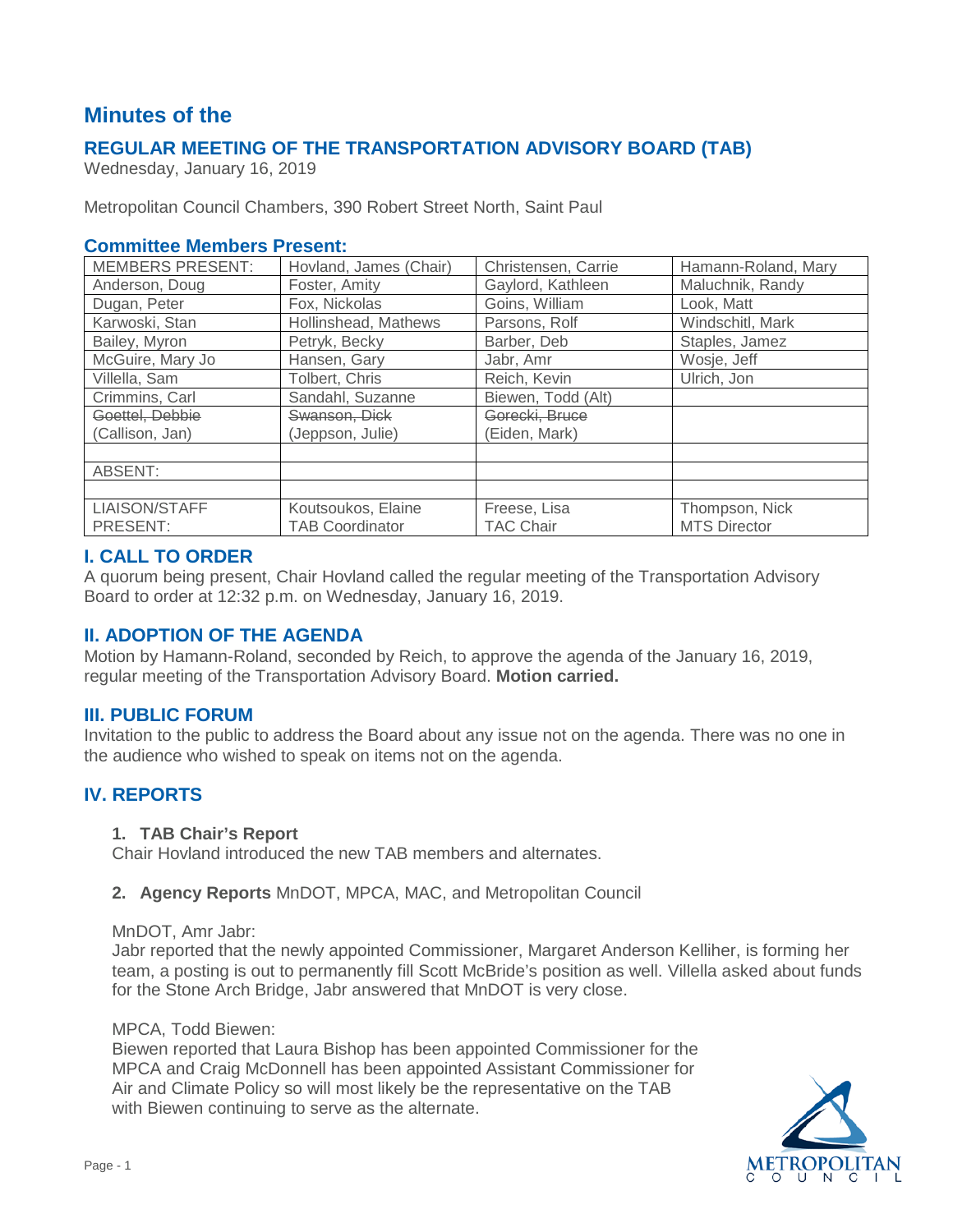# **Minutes of the**

# **REGULAR MEETING OF THE TRANSPORTATION ADVISORY BOARD (TAB)**

Wednesday, January 16, 2019

Metropolitan Council Chambers, 390 Robert Street North, Saint Paul

### **Committee Members Present:**

| <b>MEMBERS PRESENT:</b> | Hovland, James (Chair) | Christensen, Carrie | Hamann-Roland, Mary |
|-------------------------|------------------------|---------------------|---------------------|
| Anderson, Doug          | Foster, Amity          | Gaylord, Kathleen   | Maluchnik, Randy    |
| Dugan, Peter            | Fox, Nickolas          | Goins, William      | Look, Matt          |
| Karwoski, Stan          | Hollinshead, Mathews   | Parsons, Rolf       | Windschitl, Mark    |
| Bailey, Myron           | Petryk, Becky          | Barber, Deb         | Staples, Jamez      |
| McGuire, Mary Jo        | Hansen, Gary           | Jabr, Amr           | Wosje, Jeff         |
| Villella, Sam           | Tolbert, Chris         | Reich, Kevin        | Ulrich, Jon         |
| Crimmins, Carl          | Sandahl, Suzanne       | Biewen, Todd (Alt)  |                     |
| Goettel, Debbie         | Swanson, Dick          | Gorecki, Bruce      |                     |
| (Callison, Jan)         | (Jeppson, Julie)       | (Eiden, Mark)       |                     |
|                         |                        |                     |                     |
| ABSENT:                 |                        |                     |                     |
|                         |                        |                     |                     |
| LIAISON/STAFF           | Koutsoukos, Elaine     | Freese, Lisa        | Thompson, Nick      |
| PRESENT:                | <b>TAB Coordinator</b> | <b>TAC Chair</b>    | <b>MTS Director</b> |

### **I. CALL TO ORDER**

A quorum being present, Chair Hovland called the regular meeting of the Transportation Advisory Board to order at 12:32 p.m. on Wednesday, January 16, 2019.

### **II. ADOPTION OF THE AGENDA**

Motion by Hamann-Roland, seconded by Reich, to approve the agenda of the January 16, 2019, regular meeting of the Transportation Advisory Board. **Motion carried.**

### **III. PUBLIC FORUM**

Invitation to the public to address the Board about any issue not on the agenda. There was no one in the audience who wished to speak on items not on the agenda.

# **IV. REPORTS**

#### **1. TAB Chair's Report**

Chair Hovland introduced the new TAB members and alternates.

#### **2. Agency Reports** MnDOT, MPCA, MAC, and Metropolitan Council

#### MnDOT, Amr Jabr:

Jabr reported that the newly appointed Commissioner, Margaret Anderson Kelliher, is forming her team, a posting is out to permanently fill Scott McBride's position as well. Villella asked about funds for the Stone Arch Bridge, Jabr answered that MnDOT is very close.

#### MPCA, Todd Biewen:

Biewen reported that Laura Bishop has been appointed Commissioner for the MPCA and Craig McDonnell has been appointed Assistant Commissioner for Air and Climate Policy so will most likely be the representative on the TAB with Biewen continuing to serve as the alternate.

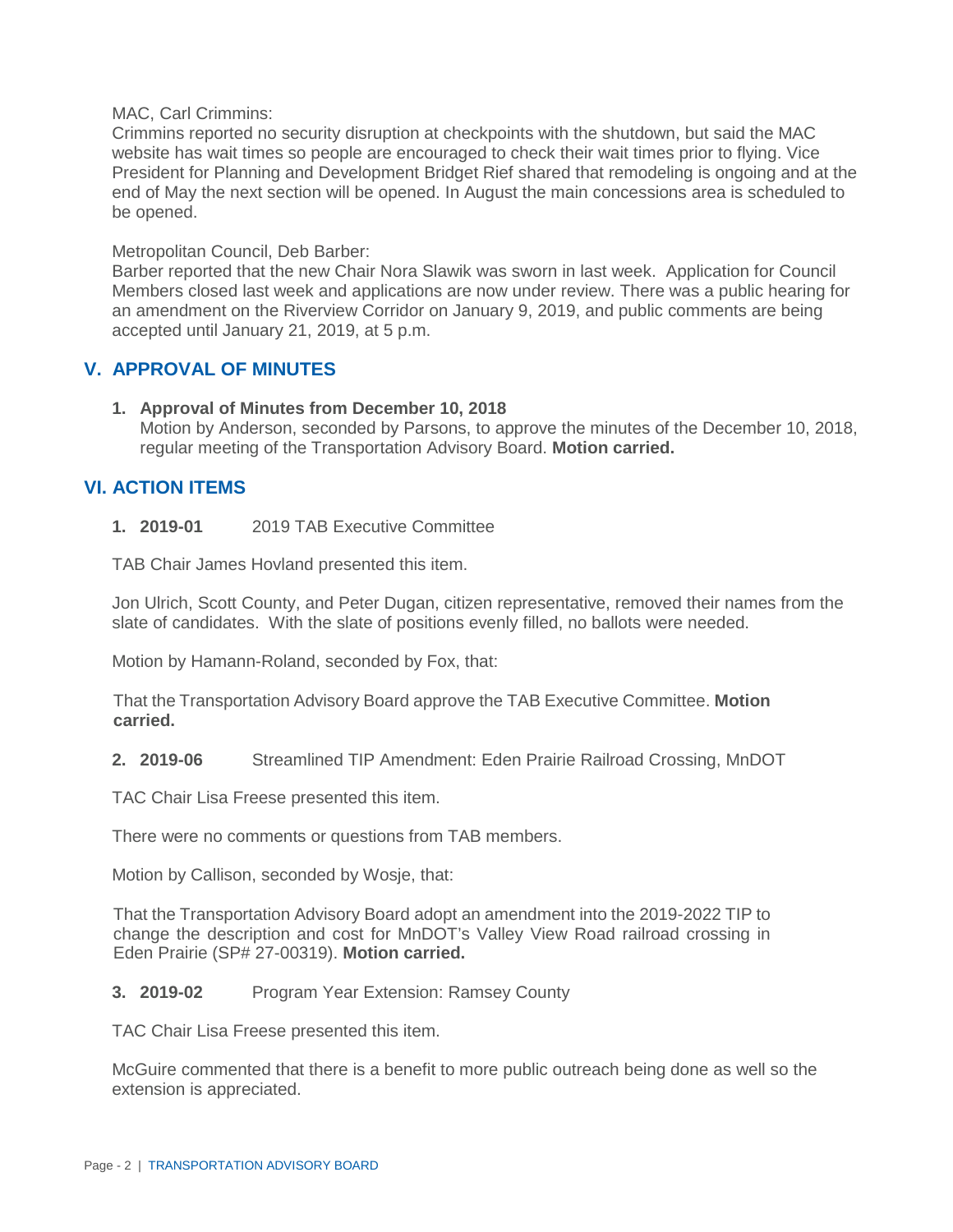#### MAC, Carl Crimmins:

Crimmins reported no security disruption at checkpoints with the shutdown, but said the MAC website has wait times so people are encouraged to check their wait times prior to flying. Vice President for Planning and Development Bridget Rief shared that remodeling is ongoing and at the end of May the next section will be opened. In August the main concessions area is scheduled to be opened.

#### Metropolitan Council, Deb Barber:

Barber reported that the new Chair Nora Slawik was sworn in last week. Application for Council Members closed last week and applications are now under review. There was a public hearing for an amendment on the Riverview Corridor on January 9, 2019, and public comments are being accepted until January 21, 2019, at 5 p.m.

### **V. APPROVAL OF MINUTES**

**1. Approval of Minutes from December 10, 2018**

Motion by Anderson, seconded by Parsons, to approve the minutes of the December 10, 2018, regular meeting of the Transportation Advisory Board. **Motion carried.**

### **VI. ACTION ITEMS**

#### **1. 2019-01** 2019 TAB Executive Committee

TAB Chair James Hovland presented this item.

Jon Ulrich, Scott County, and Peter Dugan, citizen representative, removed their names from the slate of candidates. With the slate of positions evenly filled, no ballots were needed.

Motion by Hamann-Roland, seconded by Fox, that:

That the Transportation Advisory Board approve the TAB Executive Committee. **Motion carried.**

**2. 2019-06** Streamlined TIP Amendment: Eden Prairie Railroad Crossing, MnDOT

TAC Chair Lisa Freese presented this item.

There were no comments or questions from TAB members.

Motion by Callison, seconded by Wosje, that:

That the Transportation Advisory Board adopt an amendment into the 2019-2022 TIP to change the description and cost for MnDOT's Valley View Road railroad crossing in Eden Prairie (SP# 27-00319). **Motion carried.**

### **3. 2019-02** Program Year Extension: Ramsey County

TAC Chair Lisa Freese presented this item.

McGuire commented that there is a benefit to more public outreach being done as well so the extension is appreciated.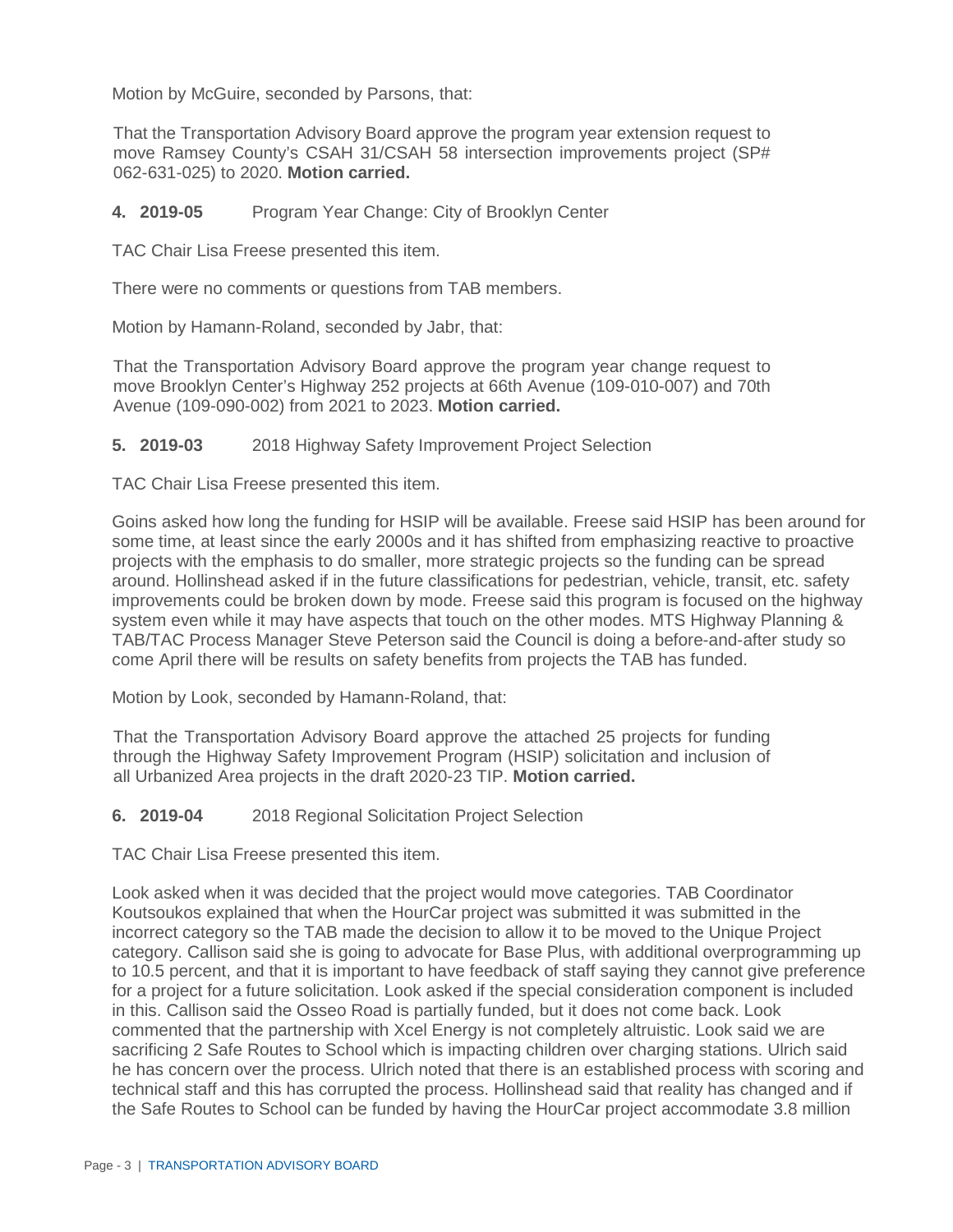Motion by McGuire, seconded by Parsons, that:

That the Transportation Advisory Board approve the program year extension request to move Ramsey County's CSAH 31/CSAH 58 intersection improvements project (SP# 062-631-025) to 2020. **Motion carried.**

#### **4. 2019-05** Program Year Change: City of Brooklyn Center

TAC Chair Lisa Freese presented this item.

There were no comments or questions from TAB members.

Motion by Hamann-Roland, seconded by Jabr, that:

That the Transportation Advisory Board approve the program year change request to move Brooklyn Center's Highway 252 projects at 66th Avenue (109-010-007) and 70th Avenue (109-090-002) from 2021 to 2023. **Motion carried.**

#### **5. 2019-03** 2018 Highway Safety Improvement Project Selection

TAC Chair Lisa Freese presented this item.

Goins asked how long the funding for HSIP will be available. Freese said HSIP has been around for some time, at least since the early 2000s and it has shifted from emphasizing reactive to proactive projects with the emphasis to do smaller, more strategic projects so the funding can be spread around. Hollinshead asked if in the future classifications for pedestrian, vehicle, transit, etc. safety improvements could be broken down by mode. Freese said this program is focused on the highway system even while it may have aspects that touch on the other modes. MTS Highway Planning & TAB/TAC Process Manager Steve Peterson said the Council is doing a before-and-after study so come April there will be results on safety benefits from projects the TAB has funded.

Motion by Look, seconded by Hamann-Roland, that:

That the Transportation Advisory Board approve the attached 25 projects for funding through the Highway Safety Improvement Program (HSIP) solicitation and inclusion of all Urbanized Area projects in the draft 2020-23 TIP. **Motion carried.**

**6. 2019-04** 2018 Regional Solicitation Project Selection

TAC Chair Lisa Freese presented this item.

Look asked when it was decided that the project would move categories. TAB Coordinator Koutsoukos explained that when the HourCar project was submitted it was submitted in the incorrect category so the TAB made the decision to allow it to be moved to the Unique Project category. Callison said she is going to advocate for Base Plus, with additional overprogramming up to 10.5 percent, and that it is important to have feedback of staff saying they cannot give preference for a project for a future solicitation. Look asked if the special consideration component is included in this. Callison said the Osseo Road is partially funded, but it does not come back. Look commented that the partnership with Xcel Energy is not completely altruistic. Look said we are sacrificing 2 Safe Routes to School which is impacting children over charging stations. Ulrich said he has concern over the process. Ulrich noted that there is an established process with scoring and technical staff and this has corrupted the process. Hollinshead said that reality has changed and if the Safe Routes to School can be funded by having the HourCar project accommodate 3.8 million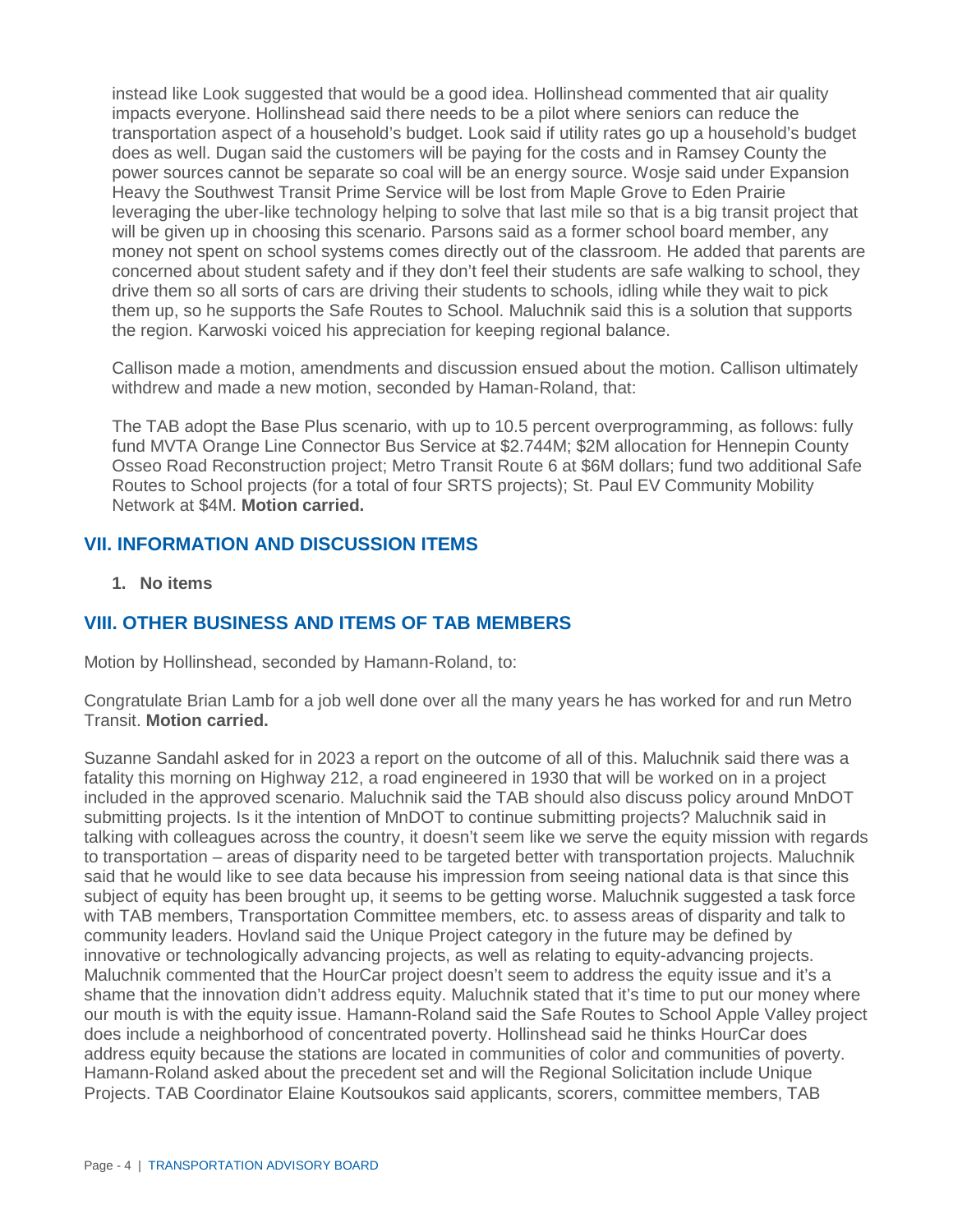instead like Look suggested that would be a good idea. Hollinshead commented that air quality impacts everyone. Hollinshead said there needs to be a pilot where seniors can reduce the transportation aspect of a household's budget. Look said if utility rates go up a household's budget does as well. Dugan said the customers will be paying for the costs and in Ramsey County the power sources cannot be separate so coal will be an energy source. Wosje said under Expansion Heavy the Southwest Transit Prime Service will be lost from Maple Grove to Eden Prairie leveraging the uber-like technology helping to solve that last mile so that is a big transit project that will be given up in choosing this scenario. Parsons said as a former school board member, any money not spent on school systems comes directly out of the classroom. He added that parents are concerned about student safety and if they don't feel their students are safe walking to school, they drive them so all sorts of cars are driving their students to schools, idling while they wait to pick them up, so he supports the Safe Routes to School. Maluchnik said this is a solution that supports the region. Karwoski voiced his appreciation for keeping regional balance.

Callison made a motion, amendments and discussion ensued about the motion. Callison ultimately withdrew and made a new motion, seconded by Haman-Roland, that:

The TAB adopt the Base Plus scenario, with up to 10.5 percent overprogramming, as follows: fully fund MVTA Orange Line Connector Bus Service at \$2.744M; \$2M allocation for Hennepin County Osseo Road Reconstruction project; Metro Transit Route 6 at \$6M dollars; fund two additional Safe Routes to School projects (for a total of four SRTS projects); St. Paul EV Community Mobility Network at \$4M. **Motion carried.**

### **VII. INFORMATION AND DISCUSSION ITEMS**

**1. No items**

### **VIII. OTHER BUSINESS AND ITEMS OF TAB MEMBERS**

Motion by Hollinshead, seconded by Hamann-Roland, to:

Congratulate Brian Lamb for a job well done over all the many years he has worked for and run Metro Transit. **Motion carried.**

Suzanne Sandahl asked for in 2023 a report on the outcome of all of this. Maluchnik said there was a fatality this morning on Highway 212, a road engineered in 1930 that will be worked on in a project included in the approved scenario. Maluchnik said the TAB should also discuss policy around MnDOT submitting projects. Is it the intention of MnDOT to continue submitting projects? Maluchnik said in talking with colleagues across the country, it doesn't seem like we serve the equity mission with regards to transportation – areas of disparity need to be targeted better with transportation projects. Maluchnik said that he would like to see data because his impression from seeing national data is that since this subject of equity has been brought up, it seems to be getting worse. Maluchnik suggested a task force with TAB members, Transportation Committee members, etc. to assess areas of disparity and talk to community leaders. Hovland said the Unique Project category in the future may be defined by innovative or technologically advancing projects, as well as relating to equity-advancing projects. Maluchnik commented that the HourCar project doesn't seem to address the equity issue and it's a shame that the innovation didn't address equity. Maluchnik stated that it's time to put our money where our mouth is with the equity issue. Hamann-Roland said the Safe Routes to School Apple Valley project does include a neighborhood of concentrated poverty. Hollinshead said he thinks HourCar does address equity because the stations are located in communities of color and communities of poverty. Hamann-Roland asked about the precedent set and will the Regional Solicitation include Unique Projects. TAB Coordinator Elaine Koutsoukos said applicants, scorers, committee members, TAB